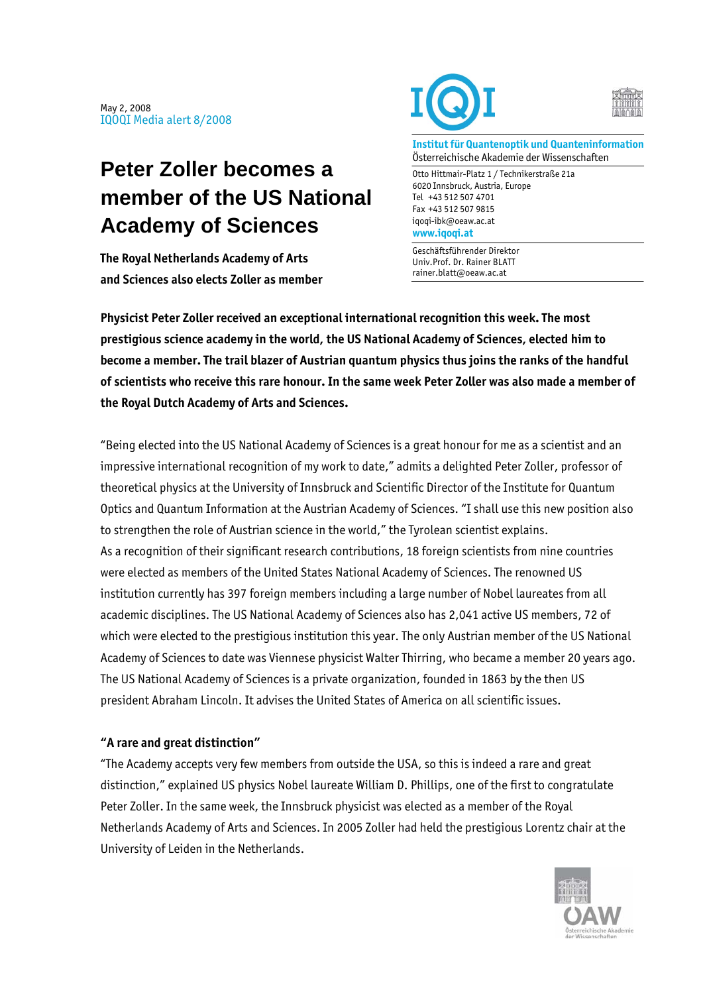## **Peter Zoller becomes a member of the US National Academy of Sciences**

**The Royal Netherlands Academy of Arts and Sciences also elects Zoller as member** 





**Institut für Quantenoptik und Quanteninformation**  Österreichische Akademie der Wissenschaften

Otto Hittmair-Platz 1 / Technikerstraße 21a 6020 Innsbruck, Austria, Europe Tel +43 512 507 4701 Fax +43 512 507 9815 iqoqi-ibk@oeaw.ac.at **www.iqoqi.at** 

Geschäftsführender Direktor Univ.Prof. Dr. Rainer BLATT rainer.blatt@oeaw.ac.at

**Physicist Peter Zoller received an exceptional international recognition this week. The most prestigious science academy in the world, the US National Academy of Sciences, elected him to become a member. The trail blazer of Austrian quantum physics thus joins the ranks of the handful of scientists who receive this rare honour. In the same week Peter Zoller was also made a member of the Royal Dutch Academy of Arts and Sciences.** 

"Being elected into the US National Academy of Sciences is a great honour for me as a scientist and an impressive international recognition of my work to date," admits a delighted Peter Zoller, professor of theoretical physics at the University of Innsbruck and Scientific Director of the Institute for Quantum Optics and Quantum Information at the Austrian Academy of Sciences. "I shall use this new position also to strengthen the role of Austrian science in the world," the Tyrolean scientist explains. As a recognition of their significant research contributions, 18 foreign scientists from nine countries were elected as members of the United States National Academy of Sciences. The renowned US institution currently has 397 foreign members including a large number of Nobel laureates from all academic disciplines. The US National Academy of Sciences also has 2,041 active US members, 72 of which were elected to the prestigious institution this year. The only Austrian member of the US National Academy of Sciences to date was Viennese physicist Walter Thirring, who became a member 20 years ago. The US National Academy of Sciences is a private organization, founded in 1863 by the then US president Abraham Lincoln. It advises the United States of America on all scientific issues.

## **"A rare and great distinction"**

"The Academy accepts very few members from outside the USA, so this is indeed a rare and great distinction," explained US physics Nobel laureate William D. Phillips, one of the first to congratulate Peter Zoller. In the same week, the Innsbruck physicist was elected as a member of the Royal Netherlands Academy of Arts and Sciences. In 2005 Zoller had held the prestigious Lorentz chair at the University of Leiden in the Netherlands.